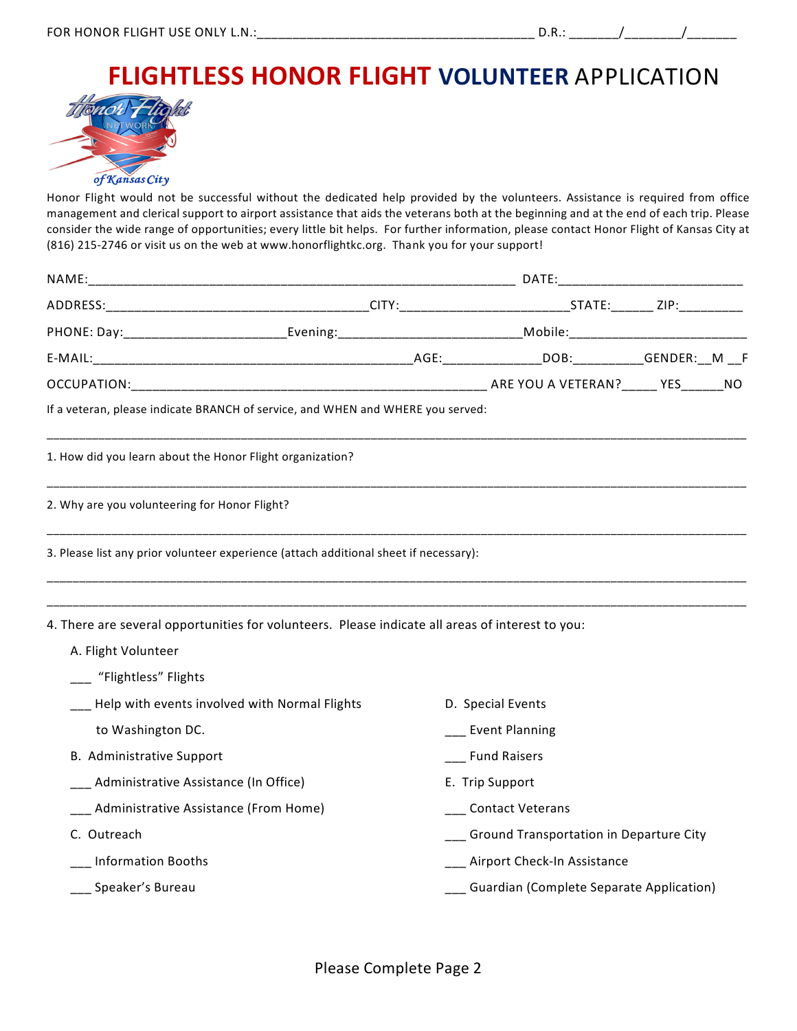## **FLIGHTLESS HONOR FLIGHT VOLUNTEER** APPLICATION



Honor Flight would not be successful without the dedicated help provided by the volunteers. Assistance is required from office management and clerical support to airport assistance that aids the veterans both at the beginning and at the end of each trip. Please consider the wide range of opportunities; every little bit helps. For further information, please contact Honor Flight of Kansas City at (816) 215-2746 or visit us on the web at www.honorflightkc.org. Thank you for your support!

| NAME:                                                                                                                                              |  |                                              |  |  |  |
|----------------------------------------------------------------------------------------------------------------------------------------------------|--|----------------------------------------------|--|--|--|
|                                                                                                                                                    |  |                                              |  |  |  |
| PHONE: Day:_____________________________Evening:_________________________________Mobile:____________________________                               |  |                                              |  |  |  |
|                                                                                                                                                    |  |                                              |  |  |  |
|                                                                                                                                                    |  |                                              |  |  |  |
| If a veteran, please indicate BRANCH of service, and WHEN and WHERE you served:                                                                    |  |                                              |  |  |  |
| 1. How did you learn about the Honor Flight organization?                                                                                          |  |                                              |  |  |  |
| 2. Why are you volunteering for Honor Flight?                                                                                                      |  |                                              |  |  |  |
| 3. Please list any prior volunteer experience (attach additional sheet if necessary):                                                              |  |                                              |  |  |  |
| 4. There are several opportunities for volunteers. Please indicate all areas of interest to you:<br>A. Flight Volunteer<br>__ "Flightless" Flights |  |                                              |  |  |  |
| Help with events involved with Normal Flights                                                                                                      |  | D. Special Events                            |  |  |  |
| to Washington DC.                                                                                                                                  |  | Event Planning                               |  |  |  |
| B. Administrative Support                                                                                                                          |  | __ Fund Raisers                              |  |  |  |
| Administrative Assistance (In Office)                                                                                                              |  | E. Trip Support                              |  |  |  |
| Administrative Assistance (From Home)                                                                                                              |  | ____Contact Veterans                         |  |  |  |
| C. Outreach                                                                                                                                        |  | ___ Ground Transportation in Departure City  |  |  |  |
| <b>Information Booths</b>                                                                                                                          |  | ___ Airport Check-In Assistance              |  |  |  |
| Speaker's Bureau                                                                                                                                   |  | ___ Guardian (Complete Separate Application) |  |  |  |